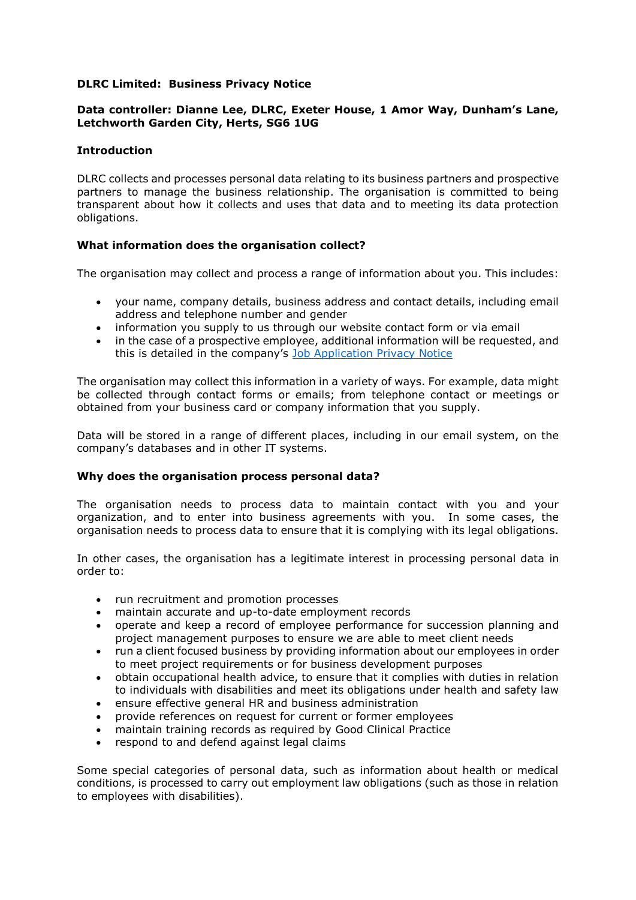# **DLRC Limited: Business Privacy Notice**

## **Data controller: Dianne Lee, DLRC, Exeter House, 1 Amor Way, Dunham's Lane, Letchworth Garden City, Herts, SG6 1UG**

## **Introduction**

DLRC collects and processes personal data relating to its business partners and prospective partners to manage the business relationship. The organisation is committed to being transparent about how it collects and uses that data and to meeting its data protection obligations.

# **What information does the organisation collect?**

The organisation may collect and process a range of information about you. This includes:

- your name, company details, business address and contact details, including email address and telephone number and gender
- information you supply to us through our website contact form or via email
- in the case of a prospective employee, additional information will be requested, and this is detailed in the company's [Job Application Privacy Notice](http://www.dlrc.co.uk/index.php/download_file/view/72/172)

The organisation may collect this information in a variety of ways. For example, data might be collected through contact forms or emails; from telephone contact or meetings or obtained from your business card or company information that you supply.

Data will be stored in a range of different places, including in our email system, on the company's databases and in other IT systems.

## **Why does the organisation process personal data?**

The organisation needs to process data to maintain contact with you and your organization, and to enter into business agreements with you. In some cases, the organisation needs to process data to ensure that it is complying with its legal obligations.

In other cases, the organisation has a legitimate interest in processing personal data in order to:

- run recruitment and promotion processes
- maintain accurate and up-to-date employment records
- operate and keep a record of employee performance for succession planning and project management purposes to ensure we are able to meet client needs
- run a client focused business by providing information about our employees in order to meet project requirements or for business development purposes
- obtain occupational health advice, to ensure that it complies with duties in relation to individuals with disabilities and meet its obligations under health and safety law
- ensure effective general HR and business administration
- provide references on request for current or former employees
- maintain training records as required by Good Clinical Practice
- respond to and defend against legal claims

Some special categories of personal data, such as information about health or medical conditions, is processed to carry out employment law obligations (such as those in relation to employees with disabilities).